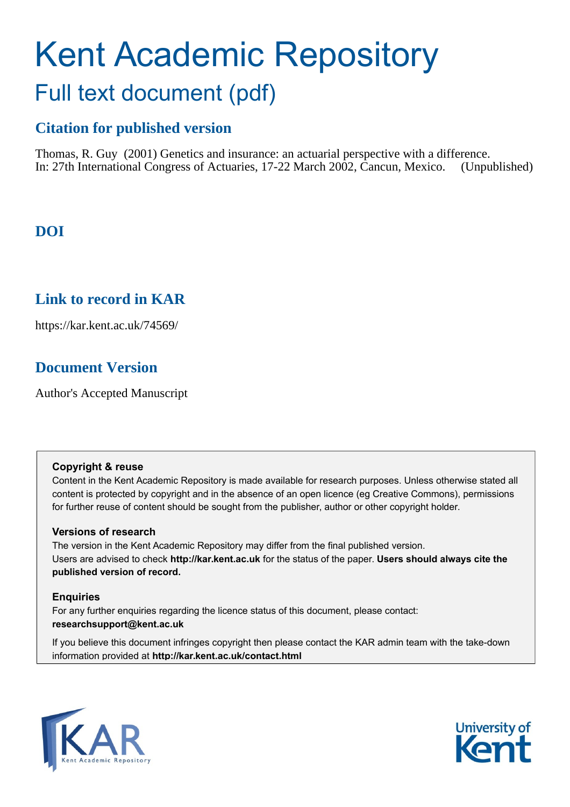# Kent Academic Repository Full text document (pdf)

## **Citation for published version**

Thomas, R. Guy (2001) Genetics and insurance: an actuarial perspective with a difference.<br>In: 27th International Congress of Actuaries, 17-22 March 2002. Cancun. Mexico. (Unnublished) In: 27th International Congress of Actuaries, 17-22 March 2002, Cancun, Mexico.

# **DOI**

## **Link to record in KAR**

https://kar.kent.ac.uk/74569/

## **Document Version**

Author's Accepted Manuscript

#### **Copyright & reuse**

Content in the Kent Academic Repository is made available for research purposes. Unless otherwise stated all content is protected by copyright and in the absence of an open licence (eg Creative Commons), permissions for further reuse of content should be sought from the publisher, author or other copyright holder.

#### **Versions of research**

The version in the Kent Academic Repository may differ from the final published version. Users are advised to check **http://kar.kent.ac.uk** for the status of the paper. **Users should always cite the published version of record.**

#### **Enquiries**

For any further enquiries regarding the licence status of this document, please contact: **researchsupport@kent.ac.uk**

If you believe this document infringes copyright then please contact the KAR admin team with the take-down information provided at **http://kar.kent.ac.uk/contact.html**



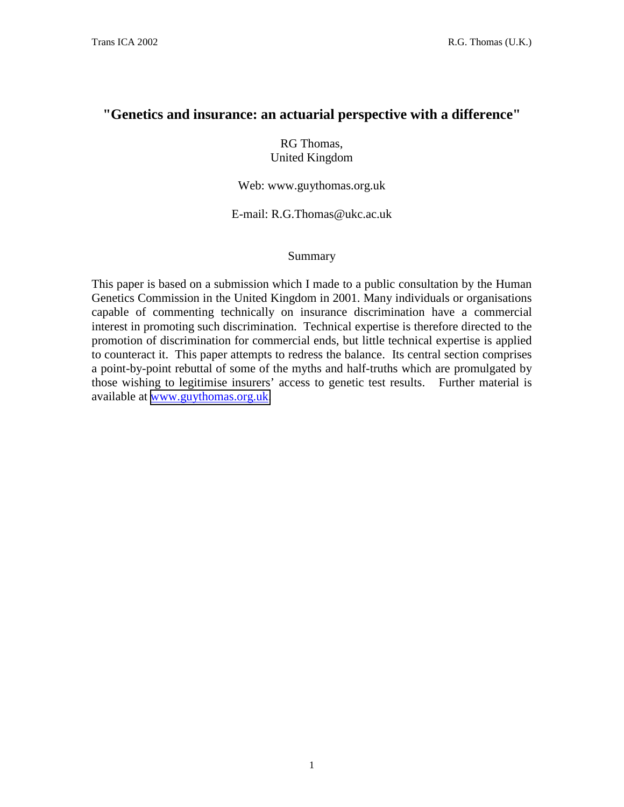### **"Genetics and insurance: an actuarial perspective with a difference"**

RG Thomas, United Kingdom

Web: www.guythomas.org.uk

E-mail: R.G.Thomas@ukc.ac.uk

#### Summary

This paper is based on a submission which I made to a public consultation by the Human Genetics Commission in the United Kingdom in 2001. Many individuals or organisations capable of commenting technically on insurance discrimination have a commercial interest in promoting such discrimination. Technical expertise is therefore directed to the promotion of discrimination for commercial ends, but little technical expertise is applied to counteract it. This paper attempts to redress the balance. Its central section comprises a point-by-point rebuttal of some of the myths and half-truths which are promulgated by those wishing to legitimise insurers' access to genetic test results. Further material is available at [www.guythomas.org.uk.](http://www.guythomas.org.uk/)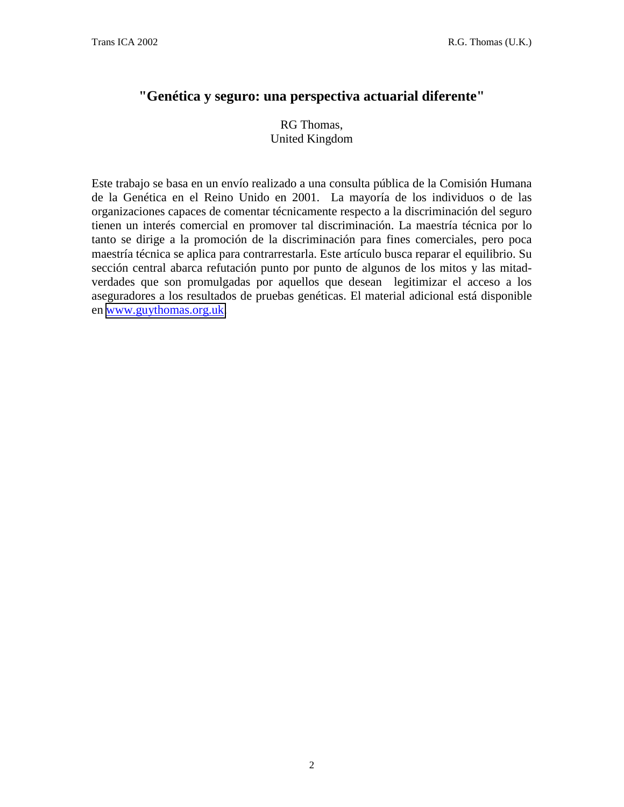## **"Genética y seguro: una perspectiva actuarial diferente"**

RG Thomas, United Kingdom

Este trabajo se basa en un envío realizado a una consulta pública de la Comisión Humana de la Genética en el Reino Unido en 2001. La mayoría de los individuos o de las organizaciones capaces de comentar técnicamente respecto a la discriminación del seguro tienen un interés comercial en promover tal discriminación. La maestría técnica por lo tanto se dirige a la promoción de la discriminación para fines comerciales, pero poca maestría técnica se aplica para contrarrestarla. Este artículo busca reparar el equilibrio. Su sección central abarca refutación punto por punto de algunos de los mitos y las mitadverdades que son promulgadas por aquellos que desean legitimizar el acceso a los aseguradores a los resultados de pruebas genéticas. El material adicional está disponible en [www.guythomas.org.uk.](http://www.guythomas.org.uk/)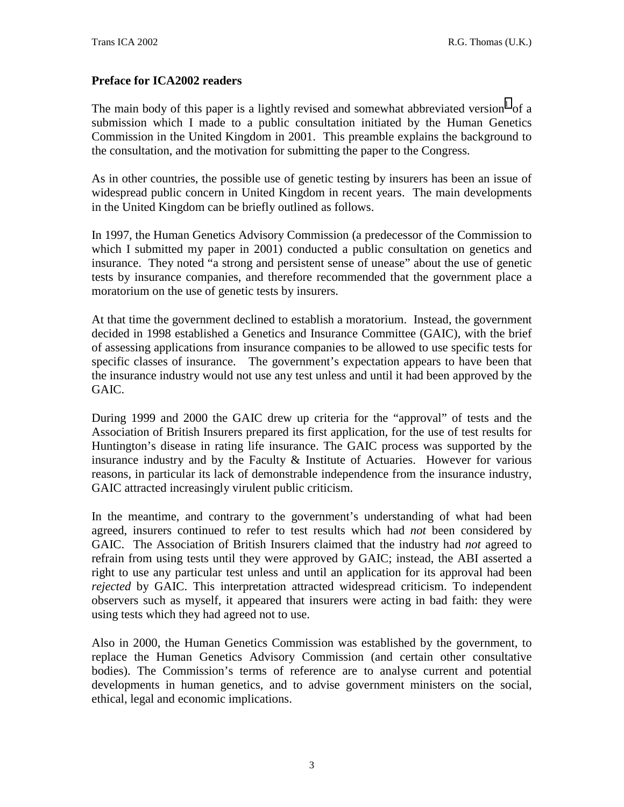#### **Preface for ICA2002 readers**

The main body of this paper is a lightly revised and somewhat abbreviated version  $1$  of a submission which I made to a public consultation initiated by the Human Genetics Commission in the United Kingdom in 2001. This preamble explains the background to the consultation, and the motivation for submitting the paper to the Congress.

As in other countries, the possible use of genetic testing by insurers has been an issue of widespread public concern in United Kingdom in recent years. The main developments in the United Kingdom can be briefly outlined as follows.

In 1997, the Human Genetics Advisory Commission (a predecessor of the Commission to which I submitted my paper in 2001) conducted a public consultation on genetics and insurance. They noted "a strong and persistent sense of unease" about the use of genetic tests by insurance companies, and therefore recommended that the government place a moratorium on the use of genetic tests by insurers.

At that time the government declined to establish a moratorium. Instead, the government decided in 1998 established a Genetics and Insurance Committee (GAIC), with the brief of assessing applications from insurance companies to be allowed to use specific tests for specific classes of insurance. The government's expectation appears to have been that the insurance industry would not use any test unless and until it had been approved by the GAIC.

During 1999 and 2000 the GAIC drew up criteria for the "approval" of tests and the Association of British Insurers prepared its first application, for the use of test results for Huntington's disease in rating life insurance. The GAIC process was supported by the insurance industry and by the Faculty & Institute of Actuaries. However for various reasons, in particular its lack of demonstrable independence from the insurance industry, GAIC attracted increasingly virulent public criticism.

In the meantime, and contrary to the government's understanding of what had been agreed, insurers continued to refer to test results which had *not* been considered by GAIC. The Association of British Insurers claimed that the industry had *not* agreed to refrain from using tests until they were approved by GAIC; instead, the ABI asserted a right to use any particular test unless and until an application for its approval had been *rejected* by GAIC. This interpretation attracted widespread criticism. To independent observers such as myself, it appeared that insurers were acting in bad faith: they were using tests which they had agreed not to use.

Also in 2000, the Human Genetics Commission was established by the government, to replace the Human Genetics Advisory Commission (and certain other consultative bodies). The Commission's terms of reference are to analyse current and potential developments in human genetics, and to advise government ministers on the social, ethical, legal and economic implications.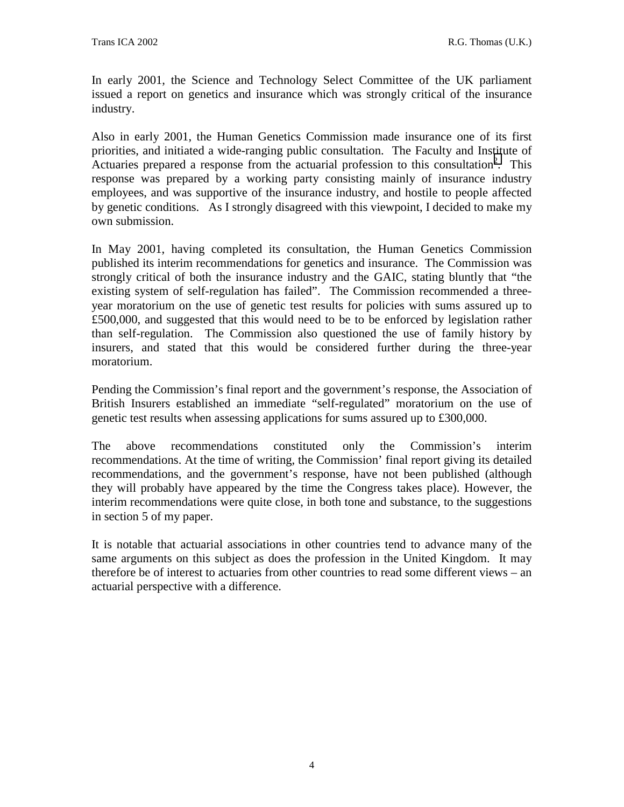In early 2001, the Science and Technology Select Committee of the UK parliament issued a report on genetics and insurance which was strongly critical of the insurance industry.

Also in early 2001, the Human Genetics Commission made insurance one of its first priorities, and initiated a wide-ranging public consultation. The Faculty and Institute of Actuaries prepared a response from the actuarial profession to this consultation<sup>[2](#page--1-0)</sup>. This response was prepared by a working party consisting mainly of insurance industry employees, and was supportive of the insurance industry, and hostile to people affected by genetic conditions. As I strongly disagreed with this viewpoint, I decided to make my own submission.

In May 2001, having completed its consultation, the Human Genetics Commission published its interim recommendations for genetics and insurance. The Commission was strongly critical of both the insurance industry and the GAIC, stating bluntly that "the existing system of self-regulation has failed". The Commission recommended a threeyear moratorium on the use of genetic test results for policies with sums assured up to £500,000, and suggested that this would need to be to be enforced by legislation rather than self-regulation. The Commission also questioned the use of family history by insurers, and stated that this would be considered further during the three-year moratorium.

Pending the Commission's final report and the government's response, the Association of British Insurers established an immediate "self-regulated" moratorium on the use of genetic test results when assessing applications for sums assured up to £300,000.

The above recommendations constituted only the Commission's interim recommendations. At the time of writing, the Commission' final report giving its detailed recommendations, and the government's response, have not been published (although they will probably have appeared by the time the Congress takes place). However, the interim recommendations were quite close, in both tone and substance, to the suggestions in section 5 of my paper.

It is notable that actuarial associations in other countries tend to advance many of the same arguments on this subject as does the profession in the United Kingdom. It may therefore be of interest to actuaries from other countries to read some different views – an actuarial perspective with a difference.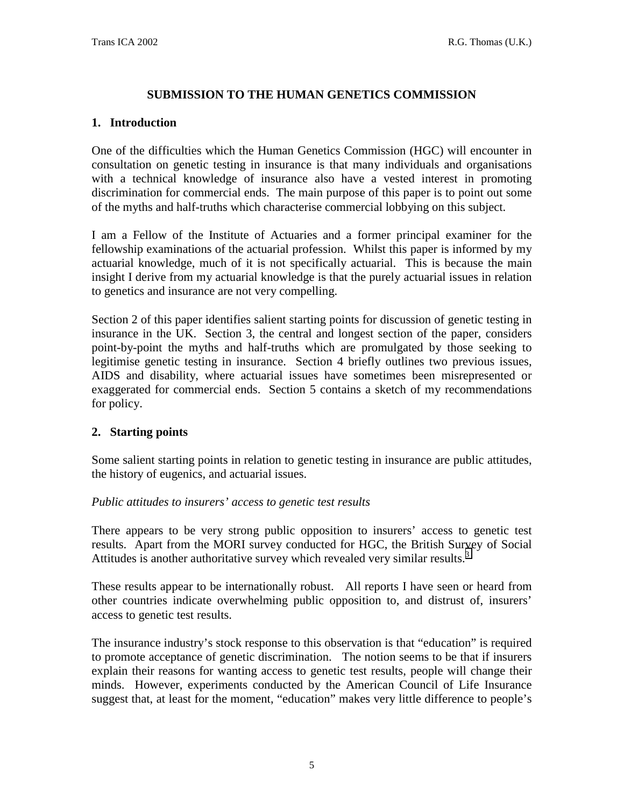### **SUBMISSION TO THE HUMAN GENETICS COMMISSION**

#### **1. Introduction**

One of the difficulties which the Human Genetics Commission (HGC) will encounter in consultation on genetic testing in insurance is that many individuals and organisations with a technical knowledge of insurance also have a vested interest in promoting discrimination for commercial ends. The main purpose of this paper is to point out some of the myths and half-truths which characterise commercial lobbying on this subject.

I am a Fellow of the Institute of Actuaries and a former principal examiner for the fellowship examinations of the actuarial profession. Whilst this paper is informed by my actuarial knowledge, much of it is not specifically actuarial. This is because the main insight I derive from my actuarial knowledge is that the purely actuarial issues in relation to genetics and insurance are not very compelling.

Section 2 of this paper identifies salient starting points for discussion of genetic testing in insurance in the UK. Section 3, the central and longest section of the paper, considers point-by-point the myths and half-truths which are promulgated by those seeking to legitimise genetic testing in insurance. Section 4 briefly outlines two previous issues, AIDS and disability, where actuarial issues have sometimes been misrepresented or exaggerated for commercial ends. Section 5 contains a sketch of my recommendations for policy.

#### **2. Starting points**

Some salient starting points in relation to genetic testing in insurance are public attitudes, the history of eugenics, and actuarial issues.

#### *Public attitudes to insurers' access to genetic test results*

There appears to be very strong public opposition to insurers' access to genetic test results. Apart from the MORI survey conducted for HGC, the British Survey of Social Attitudes is another authoritative survey which revealed very similar results.<sup>[3](#page--1-0)</sup>

These results appear to be internationally robust. All reports I have seen or heard from other countries indicate overwhelming public opposition to, and distrust of, insurers' access to genetic test results.

The insurance industry's stock response to this observation is that "education" is required to promote acceptance of genetic discrimination. The notion seems to be that if insurers explain their reasons for wanting access to genetic test results, people will change their minds. However, experiments conducted by the American Council of Life Insurance suggest that, at least for the moment, "education" makes very little difference to people's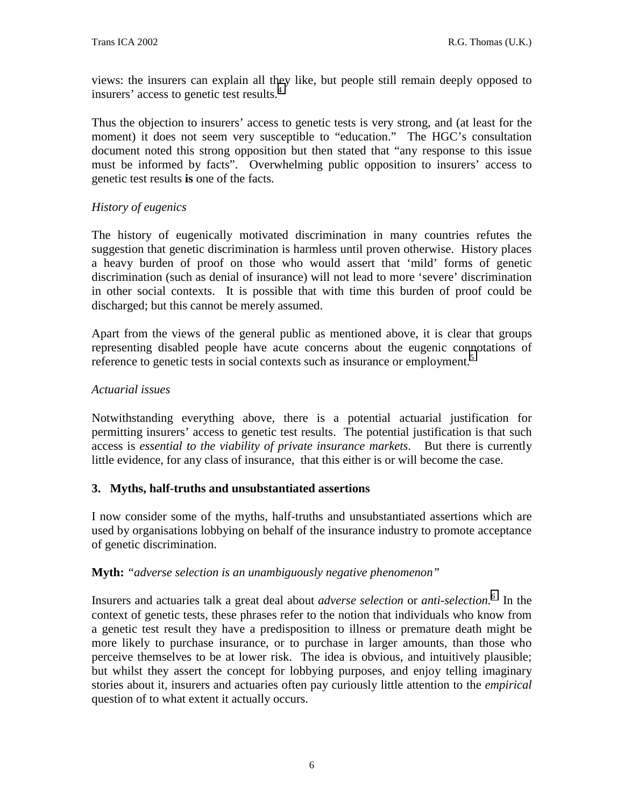views: the insurers can explain all they like, but people still remain deeply opposed to insurers' access to genetic test results.<sup>[4](#page--1-0)</sup>

Thus the objection to insurers' access to genetic tests is very strong, and (at least for the moment) it does not seem very susceptible to "education." The HGC's consultation document noted this strong opposition but then stated that "any response to this issue must be informed by facts". Overwhelming public opposition to insurers' access to genetic test results **is** one of the facts.

#### *History of eugenics*

The history of eugenically motivated discrimination in many countries refutes the suggestion that genetic discrimination is harmless until proven otherwise. History places a heavy burden of proof on those who would assert that 'mild' forms of genetic discrimination (such as denial of insurance) will not lead to more 'severe' discrimination in other social contexts. It is possible that with time this burden of proof could be discharged; but this cannot be merely assumed.

Apart from the views of the general public as mentioned above, it is clear that groups representing disabled people have acute concerns about the eugenic connotations of reference to genetic tests in social contexts such as insurance or employment.<sup>[5](#page--1-0)</sup>

#### *Actuarial issues*

Notwithstanding everything above, there is a potential actuarial justification for permitting insurers' access to genetic test results. The potential justification is that such access is *essential to the viability of private insurance markets*. But there is currently little evidence, for any class of insurance, that this either is or will become the case.

#### **3. Myths, half-truths and unsubstantiated assertions**

I now consider some of the myths, half-truths and unsubstantiated assertions which are used by organisations lobbying on behalf of the insurance industry to promote acceptance of genetic discrimination.

#### **Myth:** *"adverse selection is an unambiguously negative phenomenon"*

Insurers and actuaries talk a great deal about *adverse selection* or *anti-selection.[6](#page--1-0)* In the context of genetic tests, these phrases refer to the notion that individuals who know from a genetic test result they have a predisposition to illness or premature death might be more likely to purchase insurance, or to purchase in larger amounts, than those who perceive themselves to be at lower risk. The idea is obvious, and intuitively plausible; but whilst they assert the concept for lobbying purposes, and enjoy telling imaginary stories about it, insurers and actuaries often pay curiously little attention to the *empirical* question of to what extent it actually occurs.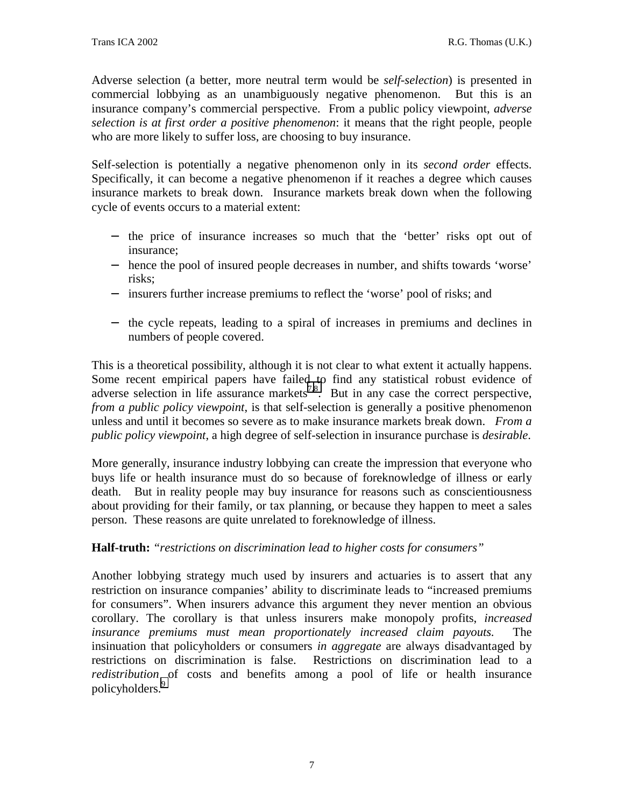Adverse selection (a better, more neutral term would be *self-selection*) is presented in commercial lobbying as an unambiguously negative phenomenon. But this is an insurance company's commercial perspective. From a public policy viewpoint, *adverse selection is at first order a positive phenomenon*: it means that the right people, people who are more likely to suffer loss, are choosing to buy insurance.

Self-selection is potentially a negative phenomenon only in its *second order* effects. Specifically, it can become a negative phenomenon if it reaches a degree which causes insurance markets to break down. Insurance markets break down when the following cycle of events occurs to a material extent:

- − the price of insurance increases so much that the 'better' risks opt out of insurance;
- − hence the pool of insured people decreases in number, and shifts towards 'worse' risks;
- − insurers further increase premiums to reflect the 'worse' pool of risks; and
- − the cycle repeats, leading to a spiral of increases in premiums and declines in numbers of people covered.

This is a theoretical possibility, although it is not clear to what extent it actually happens. Some recent empirical papers have failed to find any statistical robust evidence of adverse selection in life assurance markets<sup>7,8</sup>. But in any case the correct perspective, *from a public policy viewpoint*, is that self-selection is generally a positive phenomenon unless and until it becomes so severe as to make insurance markets break down. *From a public policy viewpoint*, a high degree of self-selection in insurance purchase is *desirable*.

More generally, insurance industry lobbying can create the impression that everyone who buys life or health insurance must do so because of foreknowledge of illness or early death. But in reality people may buy insurance for reasons such as conscientiousness about providing for their family, or tax planning, or because they happen to meet a sales person. These reasons are quite unrelated to foreknowledge of illness.

#### **Half-truth:** *"restrictions on discrimination lead to higher costs for consumers"*

Another lobbying strategy much used by insurers and actuaries is to assert that any restriction on insurance companies' ability to discriminate leads to "increased premiums for consumers". When insurers advance this argument they never mention an obvious corollary. The corollary is that unless insurers make monopoly profits, *increased insurance premiums must mean proportionately increased claim payouts.* The insinuation that policyholders or consumers *in aggregate* are always disadvantaged by restrictions on discrimination is false. Restrictions on discrimination lead to a *redistribution* of costs and benefits among a pool of life or health insurance policyholders.<sup>[9](#page--1-0)</sup>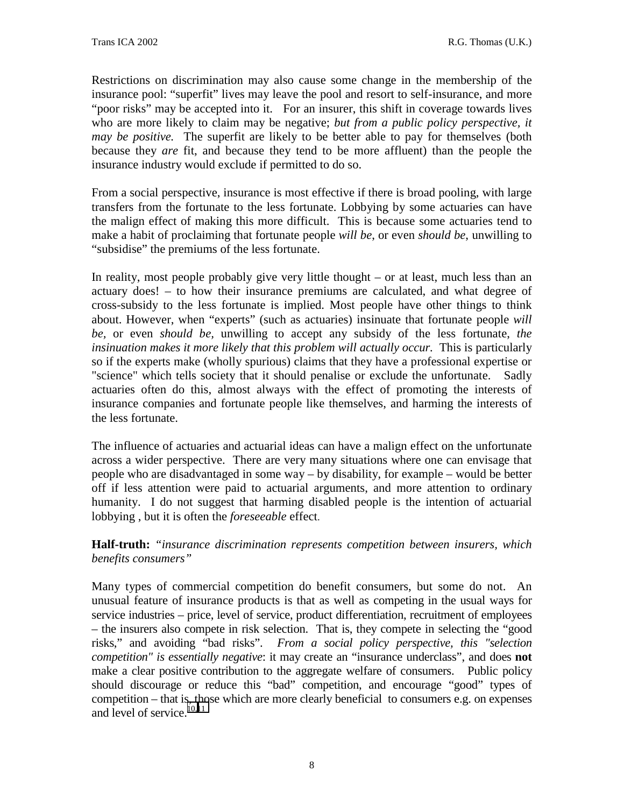Restrictions on discrimination may also cause some change in the membership of the insurance pool: "superfit" lives may leave the pool and resort to self-insurance, and more "poor risks" may be accepted into it. For an insurer, this shift in coverage towards lives who are more likely to claim may be negative; *but from a public policy perspective, it may be positive.* The superfit are likely to be better able to pay for themselves (both because they *are* fit, and because they tend to be more affluent) than the people the insurance industry would exclude if permitted to do so.

From a social perspective, insurance is most effective if there is broad pooling, with large transfers from the fortunate to the less fortunate. Lobbying by some actuaries can have the malign effect of making this more difficult. This is because some actuaries tend to make a habit of proclaiming that fortunate people *will be*, or even *should be*, unwilling to "subsidise" the premiums of the less fortunate.

In reality, most people probably give very little thought – or at least, much less than an actuary does! – to how their insurance premiums are calculated, and what degree of cross-subsidy to the less fortunate is implied. Most people have other things to think about. However, when "experts" (such as actuaries) insinuate that fortunate people *will be,* or even *should be,* unwilling to accept any subsidy of the less fortunate, *the insinuation makes it more likely that this problem will actually occur.* This is particularly so if the experts make (wholly spurious) claims that they have a professional expertise or "science" which tells society that it should penalise or exclude the unfortunate. Sadly actuaries often do this, almost always with the effect of promoting the interests of insurance companies and fortunate people like themselves, and harming the interests of the less fortunate.

The influence of actuaries and actuarial ideas can have a malign effect on the unfortunate across a wider perspective. There are very many situations where one can envisage that people who are disadvantaged in some way – by disability, for example – would be better off if less attention were paid to actuarial arguments, and more attention to ordinary humanity. I do not suggest that harming disabled people is the intention of actuarial lobbying , but it is often the *foreseeable* effect.

**Half-truth:** *"insurance discrimination represents competition between insurers, which benefits consumers"*

Many types of commercial competition do benefit consumers, but some do not. An unusual feature of insurance products is that as well as competing in the usual ways for service industries – price, level of service, product differentiation, recruitment of employees – the insurers also compete in risk selection. That is, they compete in selecting the "good risks," and avoiding "bad risks". *From a social policy perspective, this "selection competition" is essentially negative*: it may create an "insurance underclass", and does **not** make a clear positive contribution to the aggregate welfare of consumers. Public policy should discourage or reduce this "bad" competition, and encourage "good" types of competition – that is, those which are more clearly beneficial to consumers e.g. on expenses and level of service. $10,11$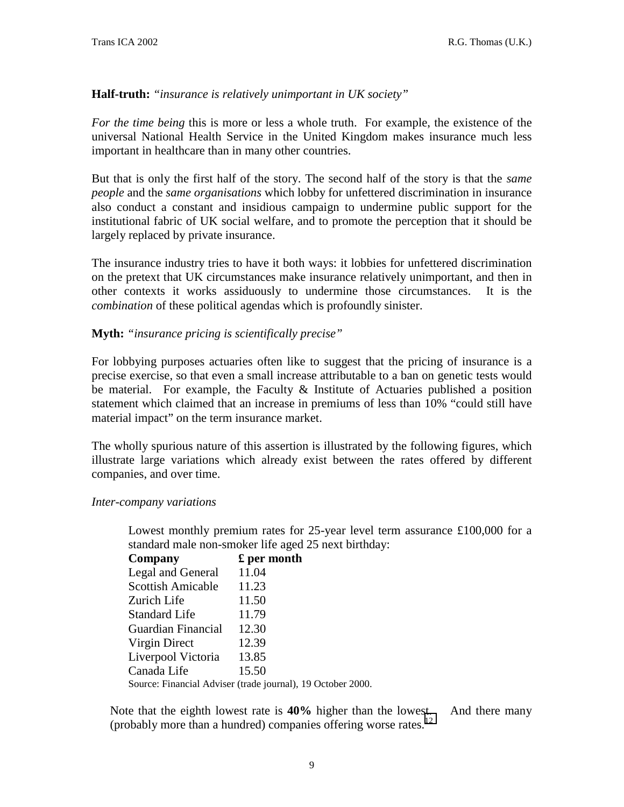#### **Half-truth:** *"insurance is relatively unimportant in UK society"*

*For the time being* this is more or less a whole truth. For example, the existence of the universal National Health Service in the United Kingdom makes insurance much less important in healthcare than in many other countries.

But that is only the first half of the story. The second half of the story is that the *same people* and the *same organisations* which lobby for unfettered discrimination in insurance also conduct a constant and insidious campaign to undermine public support for the institutional fabric of UK social welfare, and to promote the perception that it should be largely replaced by private insurance.

The insurance industry tries to have it both ways: it lobbies for unfettered discrimination on the pretext that UK circumstances make insurance relatively unimportant, and then in other contexts it works assiduously to undermine those circumstances. It is the *combination* of these political agendas which is profoundly sinister.

#### **Myth:** *"insurance pricing is scientifically precise"*

For lobbying purposes actuaries often like to suggest that the pricing of insurance is a precise exercise, so that even a small increase attributable to a ban on genetic tests would be material. For example, the Faculty  $\&$  Institute of Actuaries published a position statement which claimed that an increase in premiums of less than 10% "could still have material impact" on the term insurance market.

The wholly spurious nature of this assertion is illustrated by the following figures, which illustrate large variations which already exist between the rates offered by different companies, and over time.

#### *Inter-company variations*

Lowest monthly premium rates for 25-year level term assurance £100,000 for a standard male non-smoker life aged 25 next birthday:

| Company                                                     | £ per month |
|-------------------------------------------------------------|-------------|
| Legal and General                                           | 11.04       |
| <b>Scottish Amicable</b>                                    | 11.23       |
| Zurich Life                                                 | 11.50       |
| <b>Standard Life</b>                                        | 11.79       |
| Guardian Financial                                          | 12.30       |
| Virgin Direct                                               | 12.39       |
| Liverpool Victoria                                          | 13.85       |
| Canada Life                                                 | 15.50       |
| Source: Financial Adviser (trade journal), 19 October 2000. |             |

Note that the eighth lowest rate is **40%** higher than the lowest. And there many (probably more than a hundred) companies offering worse rates.[12](#page--1-0)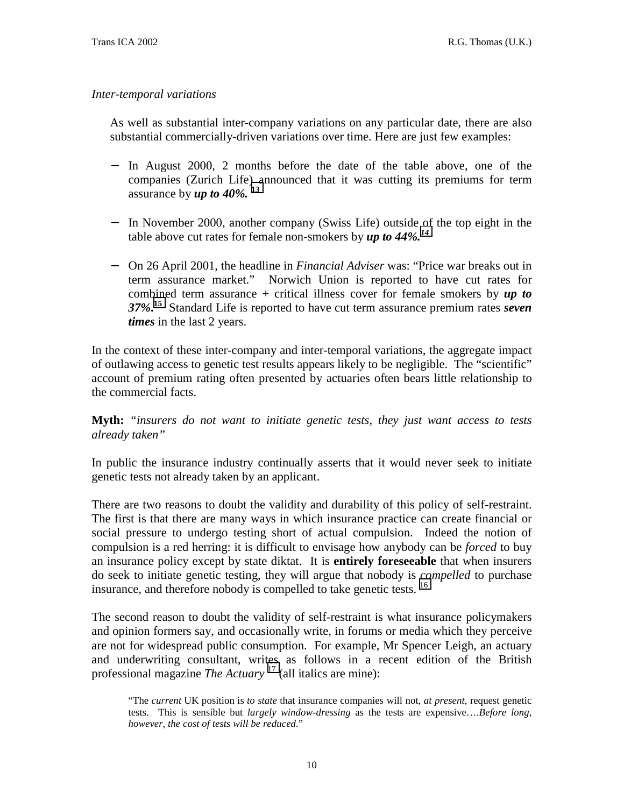#### *Inter-temporal variations*

As well as substantial inter-company variations on any particular date, there are also substantial commercially-driven variations over time. Here are just few examples:

- − In August 2000, 2 months before the date of the table above, one of the companies (Zurich Life) announced that it was cutting its premiums for term assurance by *up to 40%.* **[13](#page--1-0)**
- − In November 2000, another company (Swiss Life) outside of the top eight in the table above cut rates for female non-smokers by *up to 44%.[14](#page--1-0)*
- − On 26 April 2001, the headline in *Financial Adviser* was: "Price war breaks out in term assurance market." Norwich Union is reported to have cut rates for combined term assurance + critical illness cover for female smokers by *up to 37%***. [15](#page--1-0)** Standard Life is reported to have cut term assurance premium rates *seven times* in the last 2 years.

In the context of these inter-company and inter-temporal variations, the aggregate impact of outlawing access to genetic test results appears likely to be negligible. The "scientific" account of premium rating often presented by actuaries often bears little relationship to the commercial facts.

**Myth:** *"insurers do not want to initiate genetic tests, they just want access to tests already taken"*

In public the insurance industry continually asserts that it would never seek to initiate genetic tests not already taken by an applicant.

There are two reasons to doubt the validity and durability of this policy of self-restraint. The first is that there are many ways in which insurance practice can create financial or social pressure to undergo testing short of actual compulsion. Indeed the notion of compulsion is a red herring: it is difficult to envisage how anybody can be *forced* to buy an insurance policy except by state diktat. It is **entirely foreseeable** that when insurers do seek to initiate genetic testing, they will argue that nobody is *compelled* to purchase insurance, and therefore nobody is compelled to take genetic tests.  $16$ 

The second reason to doubt the validity of self-restraint is what insurance policymakers and opinion formers say, and occasionally write, in forums or media which they perceive are not for widespread public consumption. For example, Mr Spencer Leigh, an actuary and underwriting consultant, writes as follows in a recent edition of the British professional magazine *The Actuary* [17 \(](#page--1-0)all italics are mine):

<sup>&</sup>quot;The *current* UK position is *to state* that insurance companies will not, *at present*, request genetic tests. This is sensible but *largely window-dressing* as the tests are expensive….*Before long, however, the cost of tests will be reduced*."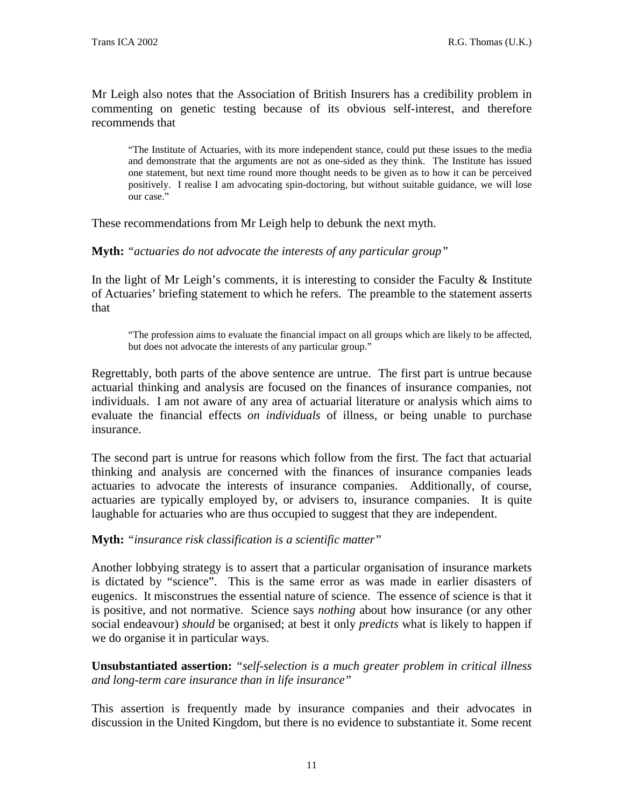Mr Leigh also notes that the Association of British Insurers has a credibility problem in commenting on genetic testing because of its obvious self-interest, and therefore recommends that

"The Institute of Actuaries, with its more independent stance, could put these issues to the media and demonstrate that the arguments are not as one-sided as they think. The Institute has issued one statement, but next time round more thought needs to be given as to how it can be perceived positively. I realise I am advocating spin-doctoring, but without suitable guidance, we will lose our case."

These recommendations from Mr Leigh help to debunk the next myth.

**Myth:** *"actuaries do not advocate the interests of any particular group"*

In the light of Mr Leigh's comments, it is interesting to consider the Faculty  $\&$  Institute of Actuaries' briefing statement to which he refers. The preamble to the statement asserts that

"The profession aims to evaluate the financial impact on all groups which are likely to be affected, but does not advocate the interests of any particular group."

Regrettably, both parts of the above sentence are untrue. The first part is untrue because actuarial thinking and analysis are focused on the finances of insurance companies, not individuals. I am not aware of any area of actuarial literature or analysis which aims to evaluate the financial effects *on individuals* of illness, or being unable to purchase insurance.

The second part is untrue for reasons which follow from the first. The fact that actuarial thinking and analysis are concerned with the finances of insurance companies leads actuaries to advocate the interests of insurance companies. Additionally, of course, actuaries are typically employed by, or advisers to, insurance companies. It is quite laughable for actuaries who are thus occupied to suggest that they are independent.

**Myth:** *"insurance risk classification is a scientific matter"*

Another lobbying strategy is to assert that a particular organisation of insurance markets is dictated by "science". This is the same error as was made in earlier disasters of eugenics. It misconstrues the essential nature of science. The essence of science is that it is positive, and not normative. Science says *nothing* about how insurance (or any other social endeavour) *should* be organised; at best it only *predicts* what is likely to happen if we do organise it in particular ways.

**Unsubstantiated assertion:** *"self-selection is a much greater problem in critical illness and long-term care insurance than in life insurance"*

This assertion is frequently made by insurance companies and their advocates in discussion in the United Kingdom, but there is no evidence to substantiate it. Some recent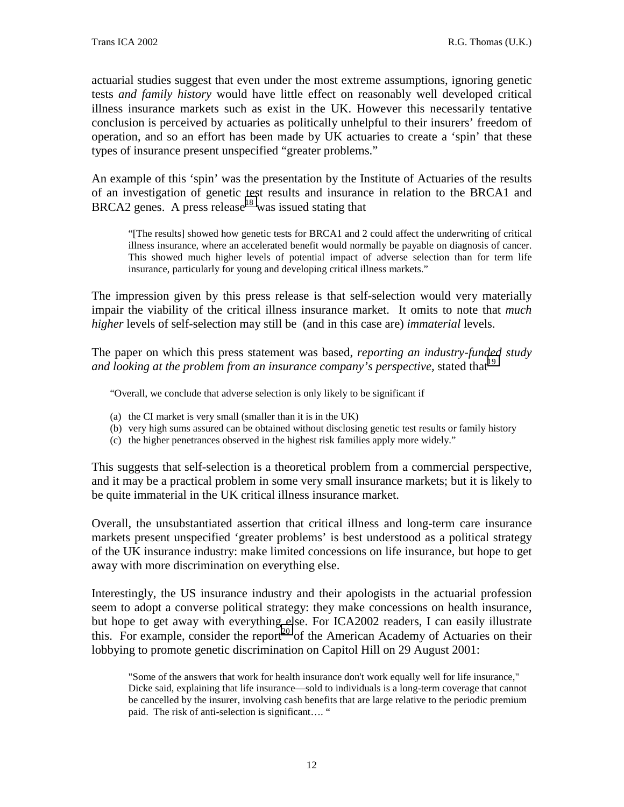actuarial studies suggest that even under the most extreme assumptions, ignoring genetic tests *and family history* would have little effect on reasonably well developed critical illness insurance markets such as exist in the UK. However this necessarily tentative conclusion is perceived by actuaries as politically unhelpful to their insurers' freedom of operation, and so an effort has been made by UK actuaries to create a 'spin' that these types of insurance present unspecified "greater problems."

An example of this 'spin' was the presentation by the Institute of Actuaries of the results of an investigation of genetic test results and insurance in relation to the BRCA1 and BRCA2 genes. A press release<sup>18</sup> was issued stating that

"[The results] showed how genetic tests for BRCA1 and 2 could affect the underwriting of critical illness insurance, where an accelerated benefit would normally be payable on diagnosis of cancer. This showed much higher levels of potential impact of adverse selection than for term life insurance, particularly for young and developing critical illness markets."

The impression given by this press release is that self-selection would very materially impair the viability of the critical illness insurance market. It omits to note that *much higher* levels of self-selection may still be (and in this case are) *immaterial* levels.

The paper on which this press statement was based, *reporting an industry-funded study* and looking at the problem from an insurance company's perspective, stated that  $19$ 

"Overall, we conclude that adverse selection is only likely to be significant if

- (a) the CI market is very small (smaller than it is in the UK)
- (b) very high sums assured can be obtained without disclosing genetic test results or family history
- (c) the higher penetrances observed in the highest risk families apply more widely."

This suggests that self-selection is a theoretical problem from a commercial perspective, and it may be a practical problem in some very small insurance markets; but it is likely to be quite immaterial in the UK critical illness insurance market.

Overall, the unsubstantiated assertion that critical illness and long-term care insurance markets present unspecified 'greater problems' is best understood as a political strategy of the UK insurance industry: make limited concessions on life insurance, but hope to get away with more discrimination on everything else.

Interestingly, the US insurance industry and their apologists in the actuarial profession seem to adopt a converse political strategy: they make concessions on health insurance, but hope to get away with everything else. For ICA2002 readers, I can easily illustrate this. For example, consider the report<sup>20</sup> of the American Academy of Actuaries on their lobbying to promote genetic discrimination on Capitol Hill on 29 August 2001:

<sup>&</sup>quot;Some of the answers that work for health insurance don't work equally well for life insurance," Dicke said, explaining that life insurance—sold to individuals is a long-term coverage that cannot be cancelled by the insurer, involving cash benefits that are large relative to the periodic premium paid. The risk of anti-selection is significant…. "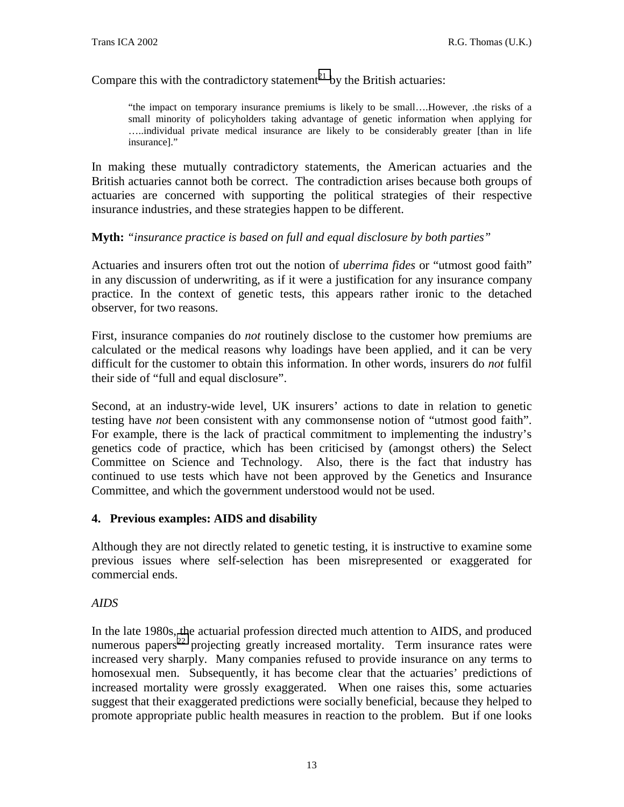Compare this with the contradictory statement<sup>21</sup> by the British actuaries:

"the impact on temporary insurance premiums is likely to be small….However, .the risks of a small minority of policyholders taking advantage of genetic information when applying for …..individual private medical insurance are likely to be considerably greater [than in life insurance]."

In making these mutually contradictory statements, the American actuaries and the British actuaries cannot both be correct. The contradiction arises because both groups of actuaries are concerned with supporting the political strategies of their respective insurance industries, and these strategies happen to be different.

#### **Myth:** *"insurance practice is based on full and equal disclosure by both parties"*

Actuaries and insurers often trot out the notion of *uberrima fides* or "utmost good faith" in any discussion of underwriting, as if it were a justification for any insurance company practice. In the context of genetic tests, this appears rather ironic to the detached observer, for two reasons.

First, insurance companies do *not* routinely disclose to the customer how premiums are calculated or the medical reasons why loadings have been applied, and it can be very difficult for the customer to obtain this information. In other words, insurers do *not* fulfil their side of "full and equal disclosure".

Second, at an industry-wide level, UK insurers' actions to date in relation to genetic testing have *not* been consistent with any commonsense notion of "utmost good faith". For example, there is the lack of practical commitment to implementing the industry's genetics code of practice, which has been criticised by (amongst others) the Select Committee on Science and Technology. Also, there is the fact that industry has continued to use tests which have not been approved by the Genetics and Insurance Committee, and which the government understood would not be used.

#### **4. Previous examples: AIDS and disability**

Although they are not directly related to genetic testing, it is instructive to examine some previous issues where self-selection has been misrepresented or exaggerated for commercial ends.

#### *AIDS*

In the late 1980s, the actuarial profession directed much attention to AIDS, and produced numerous papers<sup>22</sup> projecting greatly increased mortality. Term insurance rates were increased very sharply. Many companies refused to provide insurance on any terms to homosexual men. Subsequently, it has become clear that the actuaries' predictions of increased mortality were grossly exaggerated. When one raises this, some actuaries suggest that their exaggerated predictions were socially beneficial, because they helped to promote appropriate public health measures in reaction to the problem. But if one looks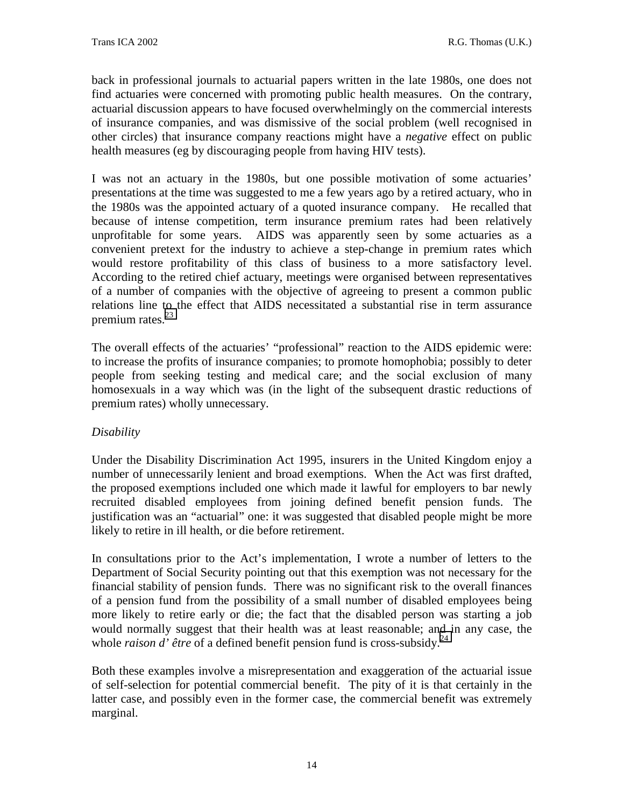back in professional journals to actuarial papers written in the late 1980s, one does not find actuaries were concerned with promoting public health measures. On the contrary, actuarial discussion appears to have focused overwhelmingly on the commercial interests of insurance companies, and was dismissive of the social problem (well recognised in other circles) that insurance company reactions might have a *negative* effect on public health measures (eg by discouraging people from having HIV tests).

I was not an actuary in the 1980s, but one possible motivation of some actuaries' presentations at the time was suggested to me a few years ago by a retired actuary, who in the 1980s was the appointed actuary of a quoted insurance company. He recalled that because of intense competition, term insurance premium rates had been relatively unprofitable for some years. AIDS was apparently seen by some actuaries as a convenient pretext for the industry to achieve a step-change in premium rates which would restore profitability of this class of business to a more satisfactory level. According to the retired chief actuary, meetings were organised between representatives of a number of companies with the objective of agreeing to present a common public relations line to the effect that AIDS necessitated a substantial rise in term assurance premium rates.<sup>[23](#page--1-0)</sup>

The overall effects of the actuaries' "professional" reaction to the AIDS epidemic were: to increase the profits of insurance companies; to promote homophobia; possibly to deter people from seeking testing and medical care; and the social exclusion of many homosexuals in a way which was (in the light of the subsequent drastic reductions of premium rates) wholly unnecessary.

#### *Disability*

Under the Disability Discrimination Act 1995, insurers in the United Kingdom enjoy a number of unnecessarily lenient and broad exemptions. When the Act was first drafted, the proposed exemptions included one which made it lawful for employers to bar newly recruited disabled employees from joining defined benefit pension funds. The justification was an "actuarial" one: it was suggested that disabled people might be more likely to retire in ill health, or die before retirement.

In consultations prior to the Act's implementation, I wrote a number of letters to the Department of Social Security pointing out that this exemption was not necessary for the financial stability of pension funds. There was no significant risk to the overall finances of a pension fund from the possibility of a small number of disabled employees being more likely to retire early or die; the fact that the disabled person was starting a job would normally suggest that their health was at least reasonable; and in any case, the whole *raison d'* être of a defined benefit pension fund is cross-subsidy.<sup>[24](#page--1-0)</sup>

Both these examples involve a misrepresentation and exaggeration of the actuarial issue of self-selection for potential commercial benefit. The pity of it is that certainly in the latter case, and possibly even in the former case, the commercial benefit was extremely marginal.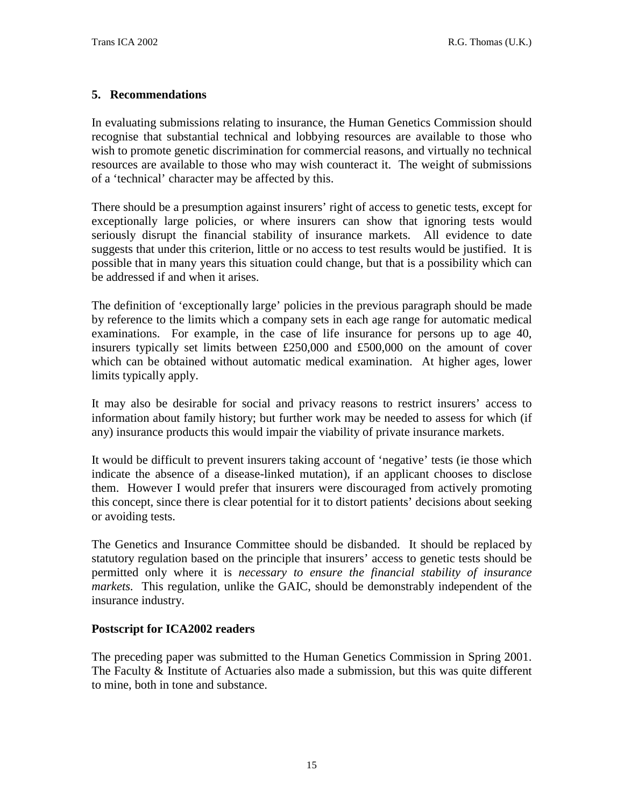#### **5. Recommendations**

In evaluating submissions relating to insurance, the Human Genetics Commission should recognise that substantial technical and lobbying resources are available to those who wish to promote genetic discrimination for commercial reasons, and virtually no technical resources are available to those who may wish counteract it. The weight of submissions of a 'technical' character may be affected by this.

There should be a presumption against insurers' right of access to genetic tests, except for exceptionally large policies, or where insurers can show that ignoring tests would seriously disrupt the financial stability of insurance markets. All evidence to date suggests that under this criterion, little or no access to test results would be justified. It is possible that in many years this situation could change, but that is a possibility which can be addressed if and when it arises.

The definition of 'exceptionally large' policies in the previous paragraph should be made by reference to the limits which a company sets in each age range for automatic medical examinations. For example, in the case of life insurance for persons up to age 40, insurers typically set limits between £250,000 and £500,000 on the amount of cover which can be obtained without automatic medical examination. At higher ages, lower limits typically apply.

It may also be desirable for social and privacy reasons to restrict insurers' access to information about family history; but further work may be needed to assess for which (if any) insurance products this would impair the viability of private insurance markets.

It would be difficult to prevent insurers taking account of 'negative' tests (ie those which indicate the absence of a disease-linked mutation), if an applicant chooses to disclose them. However I would prefer that insurers were discouraged from actively promoting this concept, since there is clear potential for it to distort patients' decisions about seeking or avoiding tests.

The Genetics and Insurance Committee should be disbanded. It should be replaced by statutory regulation based on the principle that insurers' access to genetic tests should be permitted only where it is *necessary to ensure the financial stability of insurance markets.* This regulation, unlike the GAIC, should be demonstrably independent of the insurance industry.

#### **Postscript for ICA2002 readers**

The preceding paper was submitted to the Human Genetics Commission in Spring 2001. The Faculty & Institute of Actuaries also made a submission, but this was quite different to mine, both in tone and substance.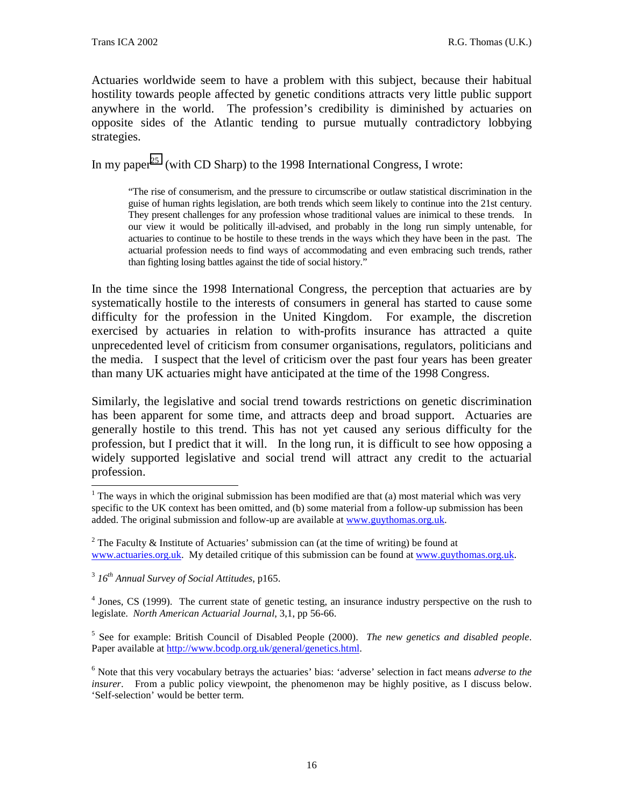Actuaries worldwide seem to have a problem with this subject, because their habitual hostility towards people affected by genetic conditions attracts very little public support anywhere in the world. The profession's credibility is diminished by actuaries on opposite sides of the Atlantic tending to pursue mutually contradictory lobbying strategies.

In my paper<sup>25</sup> (with CD Sharp) to the 1998 International Congress, I wrote:

"The rise of consumerism, and the pressure to circumscribe or outlaw statistical discrimination in the guise of human rights legislation, are both trends which seem likely to continue into the 21st century. They present challenges for any profession whose traditional values are inimical to these trends. In our view it would be politically ill-advised, and probably in the long run simply untenable, for actuaries to continue to be hostile to these trends in the ways which they have been in the past. The actuarial profession needs to find ways of accommodating and even embracing such trends, rather than fighting losing battles against the tide of social history."

In the time since the 1998 International Congress, the perception that actuaries are by systematically hostile to the interests of consumers in general has started to cause some difficulty for the profession in the United Kingdom. For example, the discretion exercised by actuaries in relation to with-profits insurance has attracted a quite unprecedented level of criticism from consumer organisations, regulators, politicians and the media. I suspect that the level of criticism over the past four years has been greater than many UK actuaries might have anticipated at the time of the 1998 Congress.

Similarly, the legislative and social trend towards restrictions on genetic discrimination has been apparent for some time, and attracts deep and broad support. Actuaries are generally hostile to this trend. This has not yet caused any serious difficulty for the profession, but I predict that it will. In the long run, it is difficult to see how opposing a widely supported legislative and social trend will attract any credit to the actuarial profession.

 $\overline{\phantom{a}}$ 

<sup>4</sup> Jones, CS (1999). The current state of genetic testing, an insurance industry perspective on the rush to legislate. *North American Actuarial Journal*, 3,1, pp 56-66.

5 See for example: British Council of Disabled People (2000). *The new genetics and disabled people*. Paper available at http://www.bcodp.org.uk/general/genetics.html.

<sup>&</sup>lt;sup>1</sup> The ways in which the original submission has been modified are that (a) most material which was very specific to the UK context has been omitted, and (b) some material from a follow-up submission has been added. The original submission and follow-up are available at www.guythomas.org.uk.

<sup>&</sup>lt;sup>2</sup> The Faculty & Institute of Actuaries' submission can (at the time of writing) be found at www.actuaries.org.uk. My detailed critique of this submission can be found at www.guythomas.org.uk.

<sup>3</sup> *16th Annual Survey of Social Attitudes*, p165.

<sup>&</sup>lt;sup>6</sup> Note that this very vocabulary betrays the actuaries' bias: 'adverse' selection in fact means *adverse to the insurer*. From a public policy viewpoint, the phenomenon may be highly positive, as I discuss below. 'Self-selection' would be better term.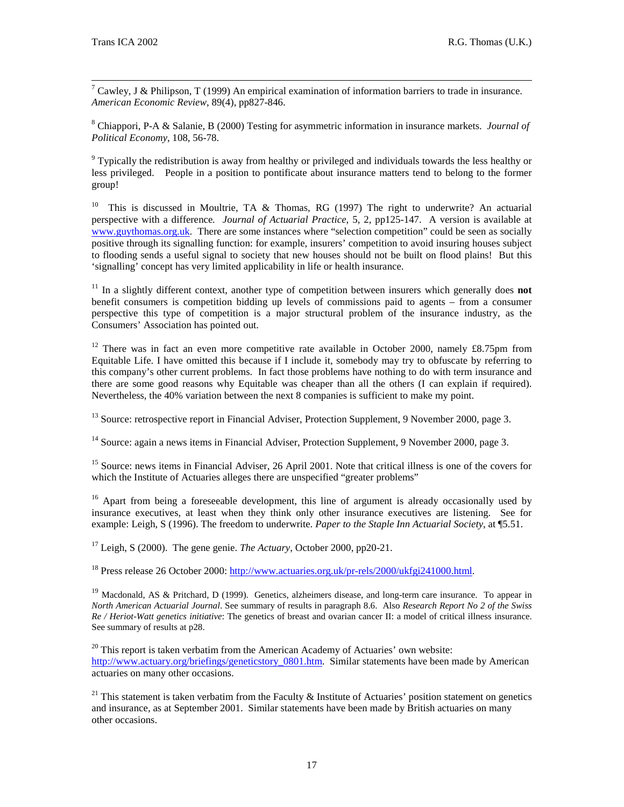-<br>7 <sup>7</sup> Cawley, J & Philipson, T (1999) An empirical examination of information barriers to trade in insurance. *American Economic Review*, 89(4), pp827-846.

8 Chiappori, P-A & Salanie, B (2000) Testing for asymmetric information in insurance markets. *Journal of Political Economy*, 108, 56-78.

 $9$  Typically the redistribution is away from healthy or privileged and individuals towards the less healthy or less privileged. People in a position to pontificate about insurance matters tend to belong to the former group!

<sup>10</sup> This is discussed in Moultrie, TA & Thomas, RG (1997) The right to underwrite? An actuarial perspective with a difference*. Journal of Actuarial Practice*, 5, 2, pp125-147. A version is available at www.guythomas.org.uk. There are some instances where "selection competition" could be seen as socially positive through its signalling function: for example, insurers' competition to avoid insuring houses subject to flooding sends a useful signal to society that new houses should not be built on flood plains! But this 'signalling' concept has very limited applicability in life or health insurance.

<sup>11</sup> In a slightly different context, another type of competition between insurers which generally does **not** benefit consumers is competition bidding up levels of commissions paid to agents – from a consumer perspective this type of competition is a major structural problem of the insurance industry, as the Consumers' Association has pointed out.

 $12$  There was in fact an even more competitive rate available in October 2000, namely £8.75pm from Equitable Life. I have omitted this because if I include it, somebody may try to obfuscate by referring to this company's other current problems. In fact those problems have nothing to do with term insurance and there are some good reasons why Equitable was cheaper than all the others (I can explain if required). Nevertheless, the 40% variation between the next 8 companies is sufficient to make my point.

<sup>13</sup> Source: retrospective report in Financial Adviser, Protection Supplement, 9 November 2000, page 3.

<sup>14</sup> Source: again a news items in Financial Adviser, Protection Supplement, 9 November 2000, page 3.

<sup>15</sup> Source: news items in Financial Adviser, 26 April 2001. Note that critical illness is one of the covers for which the Institute of Actuaries alleges there are unspecified "greater problems"

<sup>16</sup> Apart from being a foreseeable development, this line of argument is already occasionally used by insurance executives, at least when they think only other insurance executives are listening. See for example: Leigh, S (1996). The freedom to underwrite. *Paper to the Staple Inn Actuarial Society*, at ¶5.51.

17 Leigh, S (2000). The gene genie. *The Actuary*, October 2000, pp20-21.

<sup>18</sup> Press release 26 October 2000: http://www.actuaries.org.uk/pr-rels/2000/ukfgi241000.html.

<sup>19</sup> Macdonald, AS & Pritchard, D (1999). Genetics, alzheimers disease, and long-term care insurance. To appear in *North American Actuarial Journal*. See summary of results in paragraph 8.6. Also *Research Report No 2 of the Swiss Re / Heriot-Watt genetics initiative*: The genetics of breast and ovarian cancer II: a model of critical illness insurance. See summary of results at p28.

 $20$  This report is taken verbatim from the American Academy of Actuaries' own website: http://www.actuary.org/briefings/geneticstory 0801.htm. Similar statements have been made by American actuaries on many other occasions.

<sup>21</sup> This statement is taken verbatim from the Faculty & Institute of Actuaries' position statement on genetics and insurance, as at September 2001. Similar statements have been made by British actuaries on many other occasions.